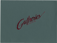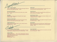**Cajun Scallops** Jumbo sea scallops lightly dusted with cajun seasonings, blackened and served with cajun mayonnaise. \$6.25

Peel and Eat Shrimp Buy 'em by the quarter pound, peel, then dip in zesty cocktail sauce. \$5.25

metizens

#### **Escargot**

Imported french snails seasoned with garlic butter in giant mushroom caps. \$5.95

### Fettucine with Lobster

Sauteed cold water lobster tossed with imported pasta, butter, parmesan cheese, garlic and sweet cream. \$5.95

**Stuffed Mushrooms** Jumbo mushroom caps filled with our spicy crabmeat mixture. Hollandaise sauce. \$4.75

Chicken Almond Salad

Chicken breast chunks, slivered almonds, mayonnaise, celery and chopped egg in a pineapple shell, served with fresh fruit. \$7.95

### Caesar Salad

Traditional preparation . . . olive oil, wine vinegar, garlic, anchovies, coddled egg, homemade croutons, fresh ground pepper, parmesan cheese and crisp romaine lettuce. With Soup \$7.95 With Your Meal \$3.75

#### **Baked Brie**

Soft, double cream brie baked with butter and almonds. Served with crusty french bread and fresh fruit. \$5.35

#### Fried Havarti

Strips of havarti cheese with seasoned breading, deep-fried and served with sauce for dipping. \$3.95

#### **Jack Daniels Cheese**

A blend of tangy cheeses and aged Jack Daniels whiskey. Served with gourmet crackers. \$3.95

#### Texas Style Chicken

Skewered chunks of chicken breast grilled and dipped in Gutheries own barbecue sauce. \$3.95

#### **Munchskins**

Baked potato skins seasoned and deep-fried. Topped with three cheeses, crumbled bacon, scallions and served with Gutheries dressing.  $$4.65$ 

Soup and Salad

Enjoy unlimited homemade soup from our soup bar, served with our own house salad. \$6.45